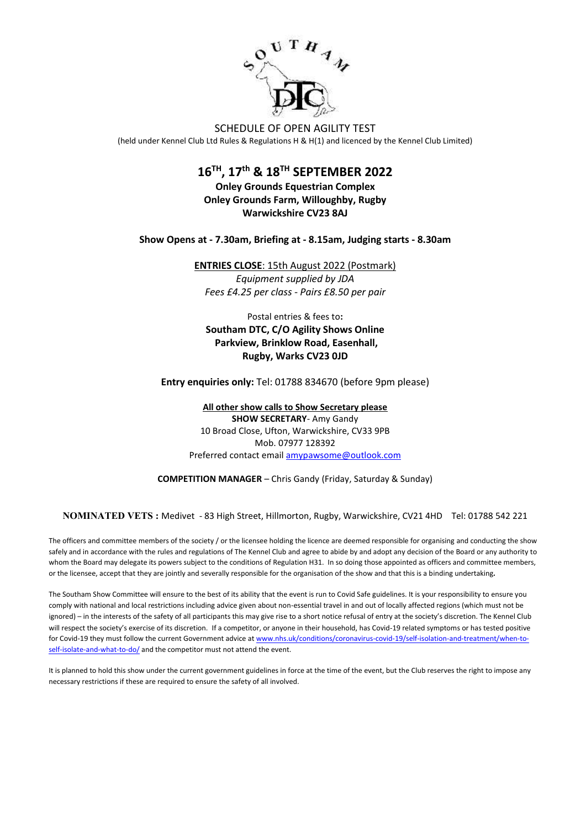

SCHEDULE OF OPEN AGILITY TEST

(held under Kennel Club Ltd Rules & Regulations H & H(1) and licenced by the Kennel Club Limited)

### **16 TH, 17 th & 18 TH SEPTEMBER 2022**

**Onley Grounds Equestrian Complex Onley Grounds Farm, Willoughby, Rugby Warwickshire CV23 8AJ** 

**Show Opens at - 7.30am, Briefing at - 8.15am, Judging starts - 8.30am**

**ENTRIES CLOSE**: 15th August 2022 (Postmark) *Equipment supplied by JDA Fees £4.25 per class - Pairs £8.50 per pair*

Postal entries & fees to**: Southam DTC, C/O Agility Shows Online Parkview, Brinklow Road, Easenhall,**

**Entry enquiries only:** Tel: 01788 834670 (before 9pm please)

**Rugby, Warks CV23 0JD**

**All other show calls to Show Secretary please SHOW SECRETARY**- Amy Gandy 10 Broad Close, Ufton, Warwickshire, CV33 9PB Mob. 07977 128392 Preferred contact emai[l amypawsome@outlook.com](mailto:amypawsome@outlook.com)

**COMPETITION MANAGER** – Chris Gandy (Friday, Saturday & Sunday)

**NOMINATED VETS :** Medivet - 83 High Street, Hillmorton, Rugby, Warwickshire, CV21 4HD Tel: [01788 542 221](tel:01788%20542%20221)

The officers and committee members of the society / or the licensee holding the licence are deemed responsible for organising and conducting the show safely and in accordance with the rules and regulations of The Kennel Club and agree to abide by and adopt any decision of the Board or any authority to whom the Board may delegate its powers subject to the conditions of Regulation H31. In so doing those appointed as officers and committee members, or the licensee, accept that they are jointly and severally responsible for the organisation of the show and that this is a binding undertaking*.*

The Southam Show Committee will ensure to the best of its ability that the event is run to Covid Safe guidelines. It is your responsibility to ensure you comply with national and local restrictions including advice given about non-essential travel in and out of locally affected regions (which must not be ignored) – in the interests of the safety of all participants this may give rise to a short notice refusal of entry at the society's discretion. The Kennel Club will respect the society's exercise of its discretion. If a competitor, or anyone in their household, has Covid-19 related symptoms or has tested positive for Covid-19 they must follow the current Government advice a[t www.nhs.uk/conditions/coronavirus-covid-19/self-isolation-and-treatment/when-to](http://www.nhs.uk/conditions/coronavirus-covid-19/self-isolation-and-treatment/when-to-self-isolate-and-what-to-do/)[self-isolate-and-what-to-do/](http://www.nhs.uk/conditions/coronavirus-covid-19/self-isolation-and-treatment/when-to-self-isolate-and-what-to-do/) and the competitor must not attend the event.

It is planned to hold this show under the current government guidelines in force at the time of the event, but the Club reserves the right to impose any necessary restrictions if these are required to ensure the safety of all involved.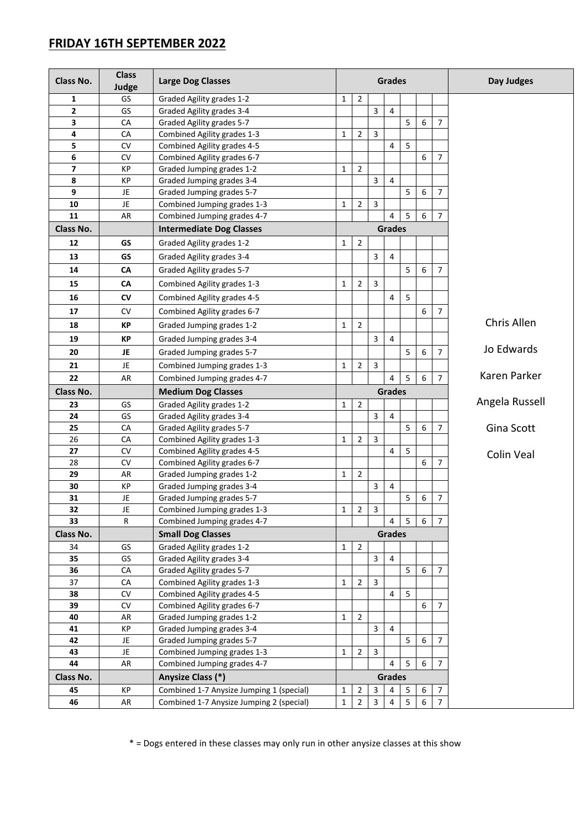### **FRIDAY 16TH SEPTEMBER 2022**

| Class No.               | <b>Class</b><br>Judge | <b>Large Dog Classes</b>                                | Grades       |                |                |                |                |   |                | Day Judges     |  |  |
|-------------------------|-----------------------|---------------------------------------------------------|--------------|----------------|----------------|----------------|----------------|---|----------------|----------------|--|--|
| $\mathbf{1}$            | GS                    | Graded Agility grades 1-2                               | $\mathbf{1}$ | $\overline{2}$ |                |                |                |   |                |                |  |  |
| $\overline{\mathbf{c}}$ | GS                    | Graded Agility grades 3-4                               |              |                | 3              | $\overline{4}$ |                |   |                |                |  |  |
| 3                       | CA                    | Graded Agility grades 5-7                               |              |                |                |                | 5              | 6 | $\overline{7}$ |                |  |  |
| 4                       | CA                    | Combined Agility grades 1-3                             | 1            | $\overline{2}$ | 3              |                |                |   |                |                |  |  |
| 5                       | CV                    | Combined Agility grades 4-5                             |              |                |                | 4              | 5              |   |                |                |  |  |
| 6                       | CV                    | Combined Agility grades 6-7                             |              |                |                |                |                | 6 | $\overline{7}$ |                |  |  |
| 7                       | KP                    | Graded Jumping grades 1-2                               | $\mathbf{1}$ | $\overline{2}$ |                |                |                |   |                |                |  |  |
| 8                       | KP                    | Graded Jumping grades 3-4                               |              |                | 3              | 4              |                |   |                |                |  |  |
| 9                       | JE                    | Graded Jumping grades 5-7                               |              |                |                |                | 5              | 6 | 7              |                |  |  |
| 10                      | JE                    | Combined Jumping grades 1-3                             | 1            | $\overline{2}$ | 3              |                |                |   |                |                |  |  |
| 11                      | AR                    | Combined Jumping grades 4-7                             |              |                |                | 4              | 5              | 6 | $\overline{7}$ |                |  |  |
| Class No.               |                       | <b>Intermediate Dog Classes</b>                         |              |                |                | <b>Grades</b>  |                |   |                |                |  |  |
| 12                      | GS                    | Graded Agility grades 1-2                               | 1            | $\overline{2}$ |                |                |                |   |                |                |  |  |
| 13                      | <b>GS</b>             | Graded Agility grades 3-4                               |              |                | 3              | 4              |                |   |                |                |  |  |
| 14                      | CA                    | Graded Agility grades 5-7                               |              |                |                |                | 5              | 6 | $\overline{7}$ |                |  |  |
| 15                      | CA                    | Combined Agility grades 1-3                             | 1            | $\overline{2}$ | 3              |                |                |   |                |                |  |  |
| 16                      | <b>CV</b>             | Combined Agility grades 4-5                             |              |                |                | 4              | 5              |   |                |                |  |  |
| 17                      | <b>CV</b>             | Combined Agility grades 6-7                             |              |                |                |                |                | 6 | $\overline{7}$ |                |  |  |
|                         |                       |                                                         |              | $\overline{2}$ |                |                |                |   |                | Chris Allen    |  |  |
| 18                      | КP                    | Graded Jumping grades 1-2                               | 1            |                |                |                |                |   |                |                |  |  |
| 19                      | КP                    | Graded Jumping grades 3-4                               |              |                | 3              | 4              |                |   |                | Jo Edwards     |  |  |
| 20                      | JE                    | Graded Jumping grades 5-7                               |              |                |                |                | 5              | 6 | $\overline{7}$ |                |  |  |
| 21                      | JE                    | Combined Jumping grades 1-3                             |              | $\overline{2}$ | 3              |                |                |   |                |                |  |  |
| 22                      | AR                    | Combined Jumping grades 4-7                             |              |                |                | 4              | 5              | 6 | $\overline{7}$ | Karen Parker   |  |  |
| Class No.               |                       | <b>Medium Dog Classes</b>                               |              | <b>Grades</b>  |                |                |                |   |                |                |  |  |
| 23                      | GS                    | Graded Agility grades 1-2                               | 1            | $\overline{2}$ |                |                |                |   |                | Angela Russell |  |  |
| 24                      | GS                    | Graded Agility grades 3-4                               |              |                | 3              | 4              |                |   |                |                |  |  |
| 25                      | CA                    | Graded Agility grades 5-7                               |              |                |                |                | 5              | 6 | $\overline{7}$ | Gina Scott     |  |  |
| 26                      | CA                    | $\overline{2}$<br>3<br>Combined Agility grades 1-3<br>1 |              |                |                |                |                |   |                |                |  |  |
| 27                      | CV                    | Combined Agility grades 4-5                             |              |                |                | 4              | 5              |   |                | Colin Veal     |  |  |
| 28                      | <b>CV</b>             | Combined Agility grades 6-7                             |              | $\overline{2}$ |                |                |                | 6 | 7              |                |  |  |
| 29<br>30                | AR<br>KP              | Graded Jumping grades 1-2<br>Graded Jumping grades 3-4  | $\mathbf{1}$ |                | 3              | 4              |                |   |                |                |  |  |
| 31                      | JE                    | Graded Jumping grades 5-7                               |              |                |                |                | 5              | 6 | 7              |                |  |  |
| 32                      | JE                    | Combined Jumping grades 1-3                             | $\mathbf{1}$ | $\overline{2}$ | $\overline{3}$ |                |                |   |                |                |  |  |
| 33                      | R                     | Combined Jumping grades 4-7                             |              |                |                | 4              | $\overline{5}$ | 6 | $\overline{7}$ |                |  |  |
| Class No.               |                       | <b>Small Dog Classes</b>                                |              | <b>Grades</b>  |                |                |                |   |                |                |  |  |
| 34                      | GS                    | Graded Agility grades 1-2                               | $\mathbf{1}$ | $\overline{2}$ |                |                |                |   |                |                |  |  |
| 35                      | GS                    | Graded Agility grades 3-4                               |              |                | 3              | 4              |                |   |                |                |  |  |
| 36                      | CA                    | Graded Agility grades 5-7                               |              |                |                |                | 5              | 6 | 7              |                |  |  |
| 37                      | ${\sf CA}$            | Combined Agility grades 1-3<br>$\mathbf{1}$             |              |                | 3              |                |                |   |                |                |  |  |
| 38                      | CV                    | Combined Agility grades 4-5                             |              |                |                | 4              | 5              |   |                |                |  |  |
| 39                      | CV                    | Combined Agility grades 6-7                             |              |                |                |                |                | 6 | $\overline{7}$ |                |  |  |
| 40                      | AR                    | Graded Jumping grades 1-2                               | $\mathbf{1}$ | $\overline{2}$ |                |                |                |   |                |                |  |  |
| 41                      | KP                    | Graded Jumping grades 3-4                               |              |                | 3              | 4              |                |   |                |                |  |  |
| 42                      | JE.                   | Graded Jumping grades 5-7                               |              |                |                |                | 5              | 6 | $\overline{7}$ |                |  |  |
| 43                      | JE.                   | Combined Jumping grades 1-3                             | 1            | $\overline{2}$ | 3              |                |                |   |                |                |  |  |
| 44                      | AR                    | Combined Jumping grades 4-7                             |              |                |                | $\overline{a}$ | 5              | 6 | $\overline{7}$ |                |  |  |
| Class No.               |                       | Anysize Class (*)                                       |              | Grades         |                |                |                |   |                |                |  |  |
| 45                      | KP                    | Combined 1-7 Anysize Jumping 1 (special)                | 1            | $\overline{2}$ | 3              | 4              | 5              | 6 | $\overline{7}$ |                |  |  |
| 46                      | AR                    | Combined 1-7 Anysize Jumping 2 (special)                | $\mathbf{1}$ | $\overline{2}$ | 3              | 4              | $\overline{5}$ | 6 | $\overline{7}$ |                |  |  |

\* = Dogs entered in these classes may only run in other anysize classes at this show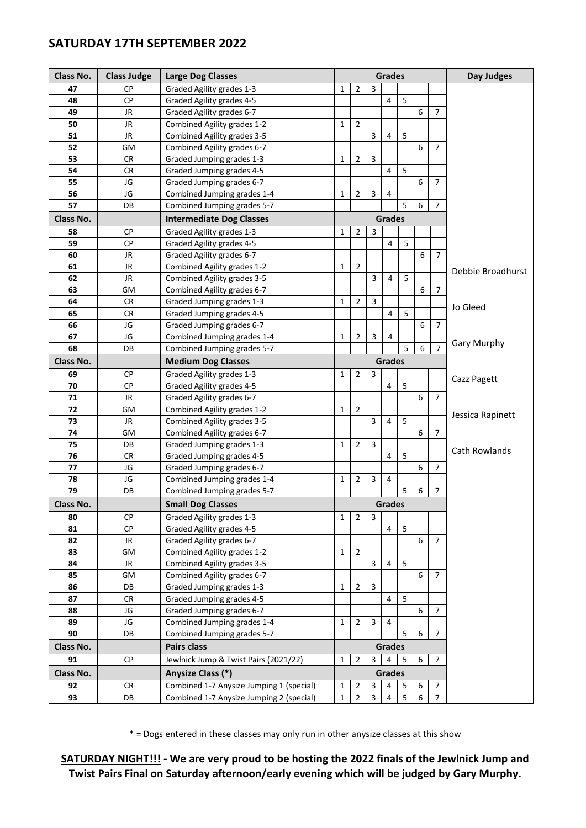### **SATURDAY 17TH SEPTEMBER 2022**

| Class No. | <b>Class Judge</b> | <b>Large Dog Classes</b>                                                 |                                                                                              |                |                | <b>Grades</b>  |                         |                  |                | Day Judges        |  |  |
|-----------|--------------------|--------------------------------------------------------------------------|----------------------------------------------------------------------------------------------|----------------|----------------|----------------|-------------------------|------------------|----------------|-------------------|--|--|
| 47        | <b>CP</b>          | Graded Agility grades 1-3                                                | $\mathbf{1}$                                                                                 | $\overline{2}$ | 3              |                |                         |                  |                |                   |  |  |
| 48        | <b>CP</b>          | Graded Agility grades 4-5                                                |                                                                                              |                |                | 4              | 5                       |                  |                |                   |  |  |
| 49        | JR                 | Graded Agility grades 6-7<br>6<br>$\overline{7}$                         |                                                                                              |                |                |                |                         |                  |                |                   |  |  |
| 50        | JR                 | Combined Agility grades 1-2                                              | $\mathbf{1}$                                                                                 | $\overline{2}$ |                |                |                         |                  |                |                   |  |  |
| 51        | JR                 | Combined Agility grades 3-5                                              |                                                                                              |                | 3              | 4              | 5                       |                  |                |                   |  |  |
| 52        | GМ                 | Combined Agility grades 6-7                                              |                                                                                              |                |                |                |                         | 6                | $\overline{7}$ |                   |  |  |
| 53        | <b>CR</b>          | Graded Jumping grades 1-3                                                | 1                                                                                            | $\overline{2}$ | 3              |                |                         |                  |                |                   |  |  |
| 54        | <b>CR</b>          | Graded Jumping grades 4-5                                                |                                                                                              |                |                | 4              | 5                       |                  |                |                   |  |  |
| 55        | JG                 | Graded Jumping grades 6-7                                                |                                                                                              |                |                |                |                         | 6                | 7              |                   |  |  |
| 56        | JG                 | Combined Jumping grades 1-4                                              | $\mathbf{1}$                                                                                 | $\overline{2}$ | $\overline{3}$ | 4              |                         |                  |                |                   |  |  |
| 57        | DB                 | Combined Jumping grades 5-7                                              |                                                                                              |                |                |                | 5                       | 6                | $\overline{7}$ |                   |  |  |
| Class No. |                    | <b>Intermediate Dog Classes</b>                                          |                                                                                              |                |                | <b>Grades</b>  |                         |                  |                |                   |  |  |
| 58        | СP                 | Graded Agility grades 1-3                                                | $\mathbf{1}$                                                                                 | $\overline{2}$ | 3              |                |                         |                  |                |                   |  |  |
| 59        | СP                 | Graded Agility grades 4-5                                                |                                                                                              |                |                | 4              | 5                       |                  |                |                   |  |  |
| 60        | JR                 | Graded Agility grades 6-7                                                |                                                                                              |                |                |                |                         | 6                | $\overline{7}$ |                   |  |  |
| 61        | JR                 | Combined Agility grades 1-2                                              | $\mathbf{1}$                                                                                 | $\overline{2}$ |                |                |                         |                  |                |                   |  |  |
| 62        | JR                 | Combined Agility grades 3-5                                              |                                                                                              |                | 3              | 4              | 5                       |                  |                | Debbie Broadhurst |  |  |
| 63        | GМ                 | Combined Agility grades 6-7                                              |                                                                                              |                |                |                |                         | 6                | $\overline{7}$ |                   |  |  |
| 64        | <b>CR</b>          | Graded Jumping grades 1-3                                                | 1                                                                                            | 2              | 3              |                |                         |                  |                |                   |  |  |
| 65        | <b>CR</b>          | Graded Jumping grades 4-5                                                |                                                                                              |                |                | 4              | 5                       |                  |                | Jo Gleed          |  |  |
| 66        | JG                 | Graded Jumping grades 6-7                                                |                                                                                              |                |                |                |                         | 6                | $\overline{7}$ |                   |  |  |
| 67        | JG                 | Combined Jumping grades 1-4                                              | 1                                                                                            | 2              | 3              | 4              |                         |                  |                |                   |  |  |
| 68        | DB                 | Combined Jumping grades 5-7                                              |                                                                                              |                |                |                | 5                       | 6                |                | Gary Murphy       |  |  |
| Class No. |                    | <b>Medium Dog Classes</b>                                                |                                                                                              | <b>Grades</b>  |                |                |                         |                  |                |                   |  |  |
|           |                    |                                                                          |                                                                                              |                |                |                |                         |                  |                |                   |  |  |
| 69        | <b>CP</b>          | Graded Agility grades 1-3                                                | 1                                                                                            | $\overline{2}$ | 3              |                | 5                       |                  |                | Cazz Pagett       |  |  |
| 70        | <b>CP</b>          | Graded Agility grades 4-5                                                |                                                                                              |                |                | 4              |                         | 6                | $\overline{7}$ |                   |  |  |
| 71        | JR                 | Graded Agility grades 6-7                                                |                                                                                              |                |                |                |                         |                  |                |                   |  |  |
| 72        | GМ                 | Combined Agility grades 1-2                                              | 1                                                                                            | $\overline{2}$ |                |                |                         |                  |                | Jessica Rapinett  |  |  |
| 73        | JR                 | Combined Agility grades 3-5                                              |                                                                                              |                | 3              | 4              | 5                       |                  |                |                   |  |  |
| 74        | GM                 | Combined Agility grades 6-7                                              |                                                                                              |                |                |                |                         | 6                | $\overline{7}$ |                   |  |  |
| 75        | DB                 | Graded Jumping grades 1-3                                                | $\mathbf{1}$                                                                                 | $\overline{2}$ | 3              | 4              | 5                       |                  |                | Cath Rowlands     |  |  |
| 76        | CR                 | Graded Jumping grades 4-5                                                |                                                                                              |                |                |                |                         |                  | $\overline{7}$ |                   |  |  |
| 77        | JG                 | Graded Jumping grades 6-7                                                |                                                                                              |                | $\overline{3}$ |                |                         | 6                |                |                   |  |  |
| 78<br>79  | JG                 | Combined Jumping grades 1-4                                              | 1                                                                                            | $\overline{2}$ |                | 4              |                         |                  |                |                   |  |  |
|           | DB                 | 5<br>$\overline{7}$<br>6<br>Combined Jumping grades 5-7<br><b>Grades</b> |                                                                                              |                |                |                |                         |                  |                |                   |  |  |
| Class No. |                    | <b>Small Dog Classes</b>                                                 |                                                                                              |                |                |                |                         |                  |                |                   |  |  |
| 80        | СP                 | Graded Agility grades 1-3                                                | 1                                                                                            | $\overline{2}$ | $\mathbf{3}$   |                |                         |                  |                |                   |  |  |
| 81        | <b>CP</b>          | Graded Agility grades 4-5                                                |                                                                                              |                |                | 4              | 5                       |                  |                |                   |  |  |
| 82        | JR                 | Graded Agility grades 6-7                                                |                                                                                              |                |                |                |                         | 6                | $\overline{7}$ |                   |  |  |
| 83        | GM                 | Combined Agility grades 1-2                                              | $\mathbf{1}$                                                                                 | $\overline{2}$ |                |                |                         |                  |                |                   |  |  |
| 84        | JR                 | Combined Agility grades 3-5                                              |                                                                                              |                | 3              | 4              | 5                       |                  |                |                   |  |  |
| 85        | GM                 | Combined Agility grades 6-7                                              |                                                                                              |                |                |                |                         | 6                | $\overline{7}$ |                   |  |  |
| 86        | DB                 | Graded Jumping grades 1-3                                                | $\mathbf{1}$                                                                                 | $\overline{2}$ | 3              |                |                         |                  |                |                   |  |  |
| 87        | <b>CR</b>          | 5<br>Graded Jumping grades 4-5<br>4                                      |                                                                                              |                |                |                |                         |                  |                |                   |  |  |
| 88        | JG                 | Graded Jumping grades 6-7                                                |                                                                                              |                |                |                |                         | 6                | $\overline{7}$ |                   |  |  |
| 89        | JG                 | Combined Jumping grades 1-4                                              | 1                                                                                            | $\overline{2}$ | 3              | $\overline{4}$ |                         |                  |                |                   |  |  |
| 90        | DB                 | Combined Jumping grades 5-7                                              | $\overline{7}$<br>5<br>6                                                                     |                |                |                |                         |                  |                |                   |  |  |
| Class No. |                    | <b>Pairs class</b>                                                       | <b>Grades</b>                                                                                |                |                |                |                         |                  |                |                   |  |  |
| 91        | CP                 | Jewlnick Jump & Twist Pairs (2021/22)                                    | $\overline{2}$<br>$\overline{7}$<br>$\mathbf{1}$<br>$\mathbf{3}$<br>$\overline{4}$<br>5<br>6 |                |                |                |                         |                  |                |                   |  |  |
| Class No. |                    | Anysize Class (*)                                                        |                                                                                              |                |                | Grades         |                         |                  |                |                   |  |  |
| 92        | <b>CR</b>          | Combined 1-7 Anysize Jumping 1 (special)                                 | $\mathbf{1}$                                                                                 | 2              | 3              | 4              | 5                       | 6                | $\overline{7}$ |                   |  |  |
| 93        | DB                 | Combined 1-7 Anysize Jumping 2 (special)                                 | $\mathbf{1}$                                                                                 | $\overline{2}$ | $\mathbf{3}$   | $\overline{4}$ | $\overline{\mathbf{5}}$ | $\boldsymbol{6}$ | $\overline{7}$ |                   |  |  |

\* = Dogs entered in these classes may only run in other anysize classes at this show

**SATURDAY NIGHT!!! - We are very proud to be hosting the 2022 finals of the Jewlnick Jump and Twist Pairs Final on Saturday afternoon/early evening which will be judged by Gary Murphy.**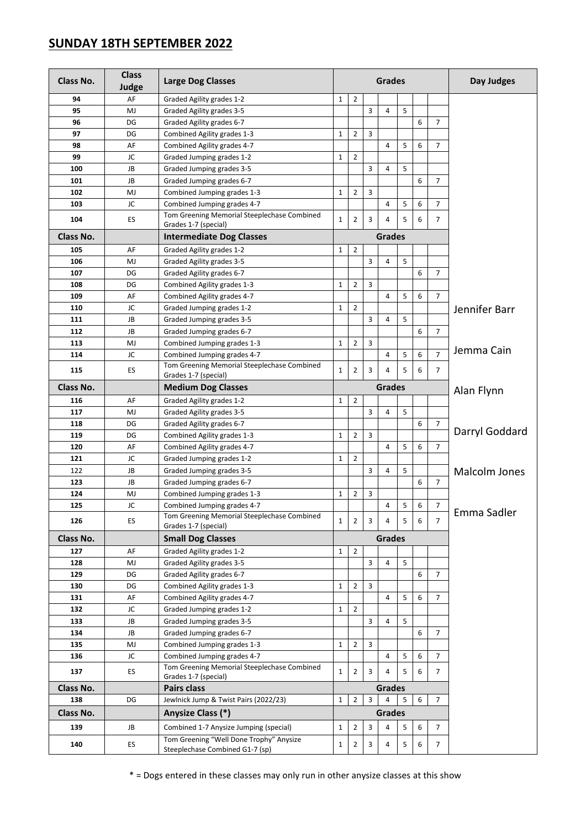### **SUNDAY 18TH SEPTEMBER 2022**

| Class No. | <b>Class</b><br>Judge | <b>Large Dog Classes</b>                                                   | <b>Grades</b>                                                                     |                |   |                |   |            | Day Judges     |                |  |
|-----------|-----------------------|----------------------------------------------------------------------------|-----------------------------------------------------------------------------------|----------------|---|----------------|---|------------|----------------|----------------|--|
| 94        | AF                    | Graded Agility grades 1-2                                                  | $\mathbf{1}$                                                                      | $\overline{2}$ |   |                |   |            |                |                |  |
| 95        | MJ                    | Graded Agility grades 3-5                                                  |                                                                                   |                | 3 | $\overline{4}$ | 5 |            |                |                |  |
| 96        | DG                    | Graded Agility grades 6-7                                                  |                                                                                   |                |   |                |   | 6          | $\overline{7}$ |                |  |
| 97        | DG                    | Combined Agility grades 1-3                                                | $\mathbf 1$                                                                       | $\overline{2}$ | 3 |                |   |            |                |                |  |
| 98        | AF                    | Combined Agility grades 4-7                                                |                                                                                   |                |   | $\overline{4}$ | 5 | 6          | $\overline{7}$ |                |  |
| 99        | JC                    | Graded Jumping grades 1-2                                                  | $\mathbf{1}$                                                                      | $\overline{2}$ |   |                |   |            |                |                |  |
| 100       | JB                    | Graded Jumping grades 3-5                                                  |                                                                                   |                | 3 | 4              | 5 |            |                |                |  |
| 101       | JB                    | Graded Jumping grades 6-7                                                  |                                                                                   |                |   |                |   | 6          | 7              |                |  |
| 102       | MJ                    | Combined Jumping grades 1-3                                                | $\mathbf{1}$                                                                      | $\overline{2}$ | 3 |                |   |            |                |                |  |
| 103       | JC                    | Combined Jumping grades 4-7                                                |                                                                                   |                |   | $\overline{4}$ | 5 | 6          | $\overline{7}$ |                |  |
| 104       | ES                    | Tom Greening Memorial Steeplechase Combined<br>Grades 1-7 (special)        | $\mathbf{1}$                                                                      | $\overline{2}$ | 3 | 4              | 5 | 6          | 7              |                |  |
| Class No. |                       | <b>Intermediate Dog Classes</b>                                            |                                                                                   |                |   | <b>Grades</b>  |   |            |                |                |  |
| 105       | AF                    | Graded Agility grades 1-2                                                  | $\mathbf{1}$                                                                      | $\overline{2}$ |   |                |   |            |                |                |  |
| 106       | MJ                    | Graded Agility grades 3-5                                                  |                                                                                   |                | 3 | 4              | 5 |            |                |                |  |
| 107       | DG                    | Graded Agility grades 6-7                                                  |                                                                                   |                |   |                |   | 6          | $\overline{7}$ |                |  |
| 108       | DG                    | Combined Agility grades 1-3                                                | $\mathbf{1}$                                                                      | $\overline{2}$ | 3 |                |   |            |                |                |  |
| 109       | AF                    | Combined Agility grades 4-7                                                |                                                                                   |                |   | $\overline{4}$ | 5 | 6          | $\overline{7}$ |                |  |
| 110       | JC                    | Graded Jumping grades 1-2                                                  | $\mathbf{1}$                                                                      | $\overline{2}$ |   |                |   |            |                | Jennifer Barr  |  |
| 111       | JB                    | Graded Jumping grades 3-5                                                  |                                                                                   |                | 3 | $\overline{4}$ | 5 |            |                |                |  |
| 112       | JB                    | Graded Jumping grades 6-7                                                  |                                                                                   |                |   |                |   | 6          | $\overline{7}$ |                |  |
| 113       | MJ                    | Combined Jumping grades 1-3                                                | $\mathbf{1}$                                                                      | $\overline{2}$ | 3 |                |   |            |                | Jemma Cain     |  |
| 114       | JC                    | Combined Jumping grades 4-7                                                |                                                                                   |                |   | 4              | 5 | 6          | $\overline{7}$ |                |  |
| 115       | ES                    | Tom Greening Memorial Steeplechase Combined<br>Grades 1-7 (special)        | $\mathbf{1}$                                                                      | $\overline{2}$ | 3 | 4              | 5 | 6          | $\overline{7}$ |                |  |
| Class No. |                       | <b>Medium Dog Classes</b>                                                  |                                                                                   | <b>Grades</b>  |   |                |   | Alan Flynn |                |                |  |
| 116       | AF                    | Graded Agility grades 1-2                                                  | $\mathbf{1}$                                                                      | $\overline{2}$ |   |                |   |            |                |                |  |
| 117       | MJ                    | Graded Agility grades 3-5                                                  |                                                                                   |                | 3 | 4              | 5 |            |                |                |  |
| 118       | DG                    | Graded Agility grades 6-7                                                  |                                                                                   |                |   |                |   | 6          | 7              |                |  |
| 119       | DG                    | Combined Agility grades 1-3                                                |                                                                                   | $\overline{2}$ | 3 |                |   |            |                | Darryl Goddard |  |
| 120       | AF                    | Combined Agility grades 4-7                                                |                                                                                   |                |   | 4              | 5 | 6          | 7              |                |  |
| 121       | JC                    | Graded Jumping grades 1-2                                                  |                                                                                   | 2              |   |                |   |            |                |                |  |
| 122       | JB                    | Graded Jumping grades 3-5                                                  |                                                                                   |                | 3 | 4              | 5 |            |                | Malcolm Jones  |  |
| 123       | JB                    | Graded Jumping grades 6-7                                                  |                                                                                   |                |   |                |   | 6          | $\overline{7}$ |                |  |
| 124       | MJ                    | Combined Jumping grades 1-3                                                | $\mathbf{1}$                                                                      | 2              | 3 |                |   |            |                |                |  |
| 125       | JC                    | Combined Jumping grades 4-7                                                |                                                                                   |                |   | $\overline{4}$ | 5 | 6          | 7              |                |  |
| 126       | ES                    | Tom Greening Memorial Steeplechase Combined<br>Grades 1-7 (special)        | $\mathbf{1}$                                                                      | $\overline{2}$ | 3 | 4              | 5 | 6          | $\overline{7}$ | Emma Sadler    |  |
| Class No. |                       | <b>Small Dog Classes</b>                                                   |                                                                                   | <b>Grades</b>  |   |                |   |            |                |                |  |
| 127       | AF                    | Graded Agility grades 1-2                                                  | $\mathbf{1}$                                                                      | $\overline{2}$ |   |                |   |            |                |                |  |
| 128       | MJ                    | Graded Agility grades 3-5                                                  |                                                                                   |                | 3 | $\overline{4}$ | 5 |            |                |                |  |
| 129       | DG                    | Graded Agility grades 6-7                                                  |                                                                                   |                |   |                |   | 6          | $\overline{7}$ |                |  |
| 130       | DG                    | Combined Agility grades 1-3                                                | $\mathbf 1$                                                                       | $\overline{2}$ | 3 |                |   |            |                |                |  |
| 131       | AF                    | Combined Agility grades 4-7                                                |                                                                                   |                |   | 4              | 5 | 6          | $\overline{7}$ |                |  |
| 132       | JC                    | Graded Jumping grades 1-2                                                  | $\mathbf{1}$                                                                      | $\overline{2}$ |   |                |   |            |                |                |  |
| 133       | JB                    | Graded Jumping grades 3-5                                                  | 3<br>$\overline{4}$<br>5                                                          |                |   |                |   |            |                |                |  |
| 134       | JB                    | Graded Jumping grades 6-7                                                  |                                                                                   |                |   |                |   | 6          | $\overline{7}$ |                |  |
| 135       | MJ                    | Combined Jumping grades 1-3                                                |                                                                                   | $\overline{2}$ | 3 |                |   |            |                |                |  |
| 136       | JC                    | Combined Jumping grades 4-7                                                |                                                                                   |                |   | $\overline{4}$ | 5 | 6          | $\overline{7}$ |                |  |
| 137       | ES.                   | Tom Greening Memorial Steeplechase Combined                                | $\mathbf{1}$                                                                      | 2              | 3 | 4              | 5 | 6          | 7              |                |  |
| Class No. |                       | Grades 1-7 (special)<br>Pairs class                                        | <b>Grades</b>                                                                     |                |   |                |   |            |                |                |  |
| 138       | DG                    | Jewlnick Jump & Twist Pairs (2022/23)                                      | $\overline{3}$<br>$\overline{2}$<br>$\mathbf{1}$<br>4<br>5<br>6<br>$\overline{7}$ |                |   |                |   |            |                |                |  |
| Class No. |                       | Anysize Class (*)                                                          |                                                                                   |                |   | <b>Grades</b>  |   |            |                |                |  |
| 139       | JB                    | Combined 1-7 Anysize Jumping (special)                                     | $\mathbf{1}$                                                                      | $\overline{2}$ | 3 | 4              | 5 | 6          | $\overline{7}$ |                |  |
| 140       | ES                    | Tom Greening "Well Done Trophy" Anysize<br>Steeplechase Combined G1-7 (sp) | $\mathbf{1}$                                                                      | $\overline{2}$ | 3 | 4              | 5 | 6          | $\overline{7}$ |                |  |

\* = Dogs entered in these classes may only run in other anysize classes at this show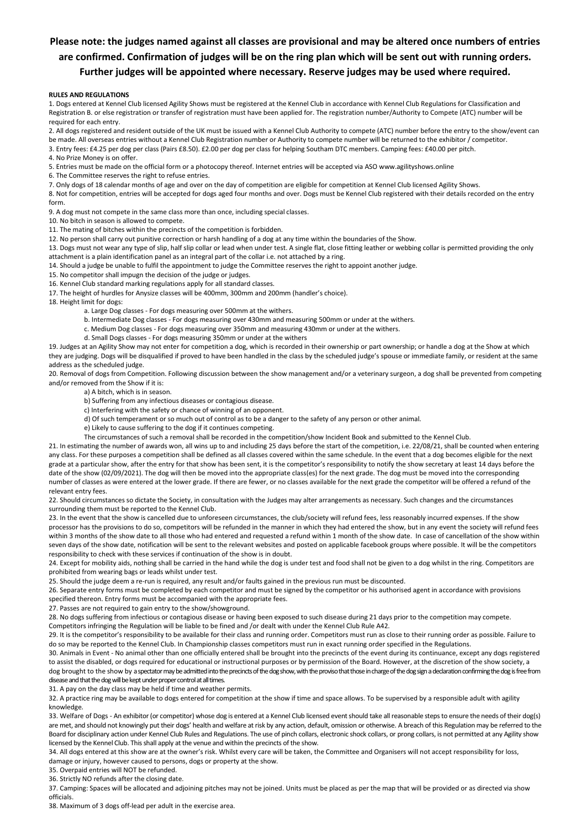#### **Please note: the judges named against all classes are provisional and may be altered once numbers of entries are confirmed. Confirmation of judges will be on the ring plan which will be sent out with running orders. Further judges will be appointed where necessary. Reserve judges may be used where required.**

#### **RULES AND REGULATIONS**

1. Dogs entered at Kennel Club licensed Agility Shows must be registered at the Kennel Club in accordance with Kennel Club Regulations for Classification and Registration B. or else registration or transfer of registration must have been applied for. The registration number/Authority to Compete (ATC) number will be required for each entry.

2. All dogs registered and resident outside of the UK must be issued with a Kennel Club Authority to compete (ATC) number before the entry to the show/event can be made. All overseas entries without a Kennel Club Registration number or Authority to compete number will be returned to the exhibitor / competitor. 3. Entry fees: £4.25 per dog per class (Pairs £8.50). £2.00 per dog per class for helping Southam DTC members. Camping fees: £40.00 per pitch.

4. No Prize Money is on offer.

5. Entries must be made on the official form or a photocopy thereof. Internet entries will be accepted via ASO www.agilityshows.online

6. The Committee reserves the right to refuse entries.

7. Only dogs of 18 calendar months of age and over on the day of competition are eligible for competition at Kennel Club licensed Agility Shows.

8. Not for competition, entries will be accepted for dogs aged four months and over. Dogs must be Kennel Club registered with their details recorded on the entry form.

9. A dog must not compete in the same class more than once, including special classes.

10. No bitch in season is allowed to compete.

11. The mating of bitches within the precincts of the competition is forbidden.

12. No person shall carry out punitive correction or harsh handling of a dog at any time within the boundaries of the Show.

13. Dogs must not wear any type of slip, half slip collar or lead when under test. A single flat, close fitting leather or webbing collar is permitted providing the only attachment is a plain identification panel as an integral part of the collar i.e. not attached by a ring.

14. Should a judge be unable to fulfil the appointment to judge the Committee reserves the right to appoint another judge.

15. No competitor shall impugn the decision of the judge or judges.

16. Kennel Club standard marking regulations apply for all standard classes.

17. The height of hurdles for Anysize classes will be 400mm, 300mm and 200mm (handler's choice).

18. Height limit for dogs:

a. Large Dog classes - For dogs measuring over 500mm at the withers.

b. Intermediate Dog classes - For dogs measuring over 430mm and measuring 500mm or under at the withers.

c. Medium Dog classes - For dogs measuring over 350mm and measuring 430mm or under at the withers.

d. Small Dogs classes - For dogs measuring 350mm or under at the withers

19. Judges at an Agility Show may not enter for competition a dog, which is recorded in their ownership or part ownership; or handle a dog at the Show at which they are judging. Dogs will be disqualified if proved to have been handled in the class by the scheduled judge's spouse or immediate family, or resident at the same address as the scheduled judge.

20. Removal of dogs from Competition. Following discussion between the show management and/or a veterinary surgeon, a dog shall be prevented from competing and/or removed from the Show if it is:

a) A bitch, which is in season.

b) Suffering from any infectious diseases or contagious disease.

c) Interfering with the safety or chance of winning of an opponent.

d) Of such temperament or so much out of control as to be a danger to the safety of any person or other animal.

e) Likely to cause suffering to the dog if it continues competing.

The circumstances of such a removal shall be recorded in the competition/show Incident Book and submitted to the Kennel Club.

21. In estimating the number of awards won, all wins up to and including 25 days before the start of the competition, i.e. 22/08/21, shall be counted when entering any class. For these purposes a competition shall be defined as all classes covered within the same schedule. In the event that a dog becomes eligible for the next grade at a particular show, after the entry for that show has been sent, it is the competitor's responsibility to notify the show secretary at least 14 days before the date of the show (02/09/2021). The dog will then be moved into the appropriate class(es) for the next grade. The dog must be moved into the corresponding number of classes as were entered at the lower grade. If there are fewer, or no classes available for the next grade the competitor will be offered a refund of the relevant entry fees.

22. Should circumstances so dictate the Society, in consultation with the Judges may alter arrangements as necessary. Such changes and the circumstances surrounding them must be reported to the Kennel Club.

23. In the event that the show is cancelled due to unforeseen circumstances, the club/society will refund fees, less reasonably incurred expenses. If the show processor has the provisions to do so, competitors will be refunded in the manner in which they had entered the show, but in any event the society will refund fees within 3 months of the show date to all those who had entered and requested a refund within 1 month of the show date. In case of cancellation of the show within seven days of the show date, notification will be sent to the relevant websites and posted on applicable facebook groups where possible. It will be the competitors responsibility to check with these services if continuation of the show is in doubt.

24. Except for mobility aids, nothing shall be carried in the hand while the dog is under test and food shall not be given to a dog whilst in the ring. Competitors are prohibited from wearing bags or leads whilst under test.

25. Should the judge deem a re-run is required, any result and/or faults gained in the previous run must be discounted.

26. Separate entry forms must be completed by each competitor and must be signed by the competitor or his authorised agent in accordance with provisions specified thereon. Entry forms must be accompanied with the appropriate fees.

27. Passes are not required to gain entry to the show/showground.

28. No dogs suffering from infectious or contagious disease or having been exposed to such disease during 21 days prior to the competition may compete. Competitors infringing the Regulation will be liable to be fined and /or dealt with under the Kennel Club Rule A42.

29. It is the competitor's responsibility to be available for their class and running order. Competitors must run as close to their running order as possible. Failure to do so may be reported to the Kennel Club. In Championship classes competitors must run in exact running order specified in the Regulations.

30. Animals in Event - No animal other than one officially entered shall be brought into the precincts of the event during its continuance, except any dogs registered to assist the disabled, or dogs required for educational or instructional purposes or by permission of the Board. However, at the discretion of the show society, a dog brought to the show by a spectator may be admitted into the precincts of the dog show, with the proviso that those in charge of the dog sign a declaration confirming the dog is free from disease and that the dog will be kept under proper control at all times.

31. A pay on the day class may be held if time and weather permits.

32. A practice ring may be available to dogs entered for competition at the show if time and space allows. To be supervised by a responsible adult with agility knowledge.

33. Welfare of Dogs - An exhibitor (or competitor) whose dog is entered at a Kennel Club licensed event should take all reasonable steps to ensure the needs of their dog(s) are met, and should not knowingly put their dogs' health and welfare at risk by any action, default, omission or otherwise. A breach of this Regulation may be referred to the Board for disciplinary action under Kennel Club Rules and Regulations. The use of pinch collars, electronic shock collars, or prong collars, is not permitted at any Agility show licensed by the Kennel Club. This shall apply at the venue and within the precincts of the show.

34. All dogs entered at this show are at the owner's risk. Whilst every care will be taken, the Committee and Organisers will not accept responsibility for loss, damage or injury, however caused to persons, dogs or property at the show.

35. Overpaid entries will NOT be refunded.

36. Strictly NO refunds after the closing date.

37. Camping: Spaces will be allocated and adjoining pitches may not be joined. Units must be placed as per the map that will be provided or as directed via show officials.

38. Maximum of 3 dogs off-lead per adult in the exercise area.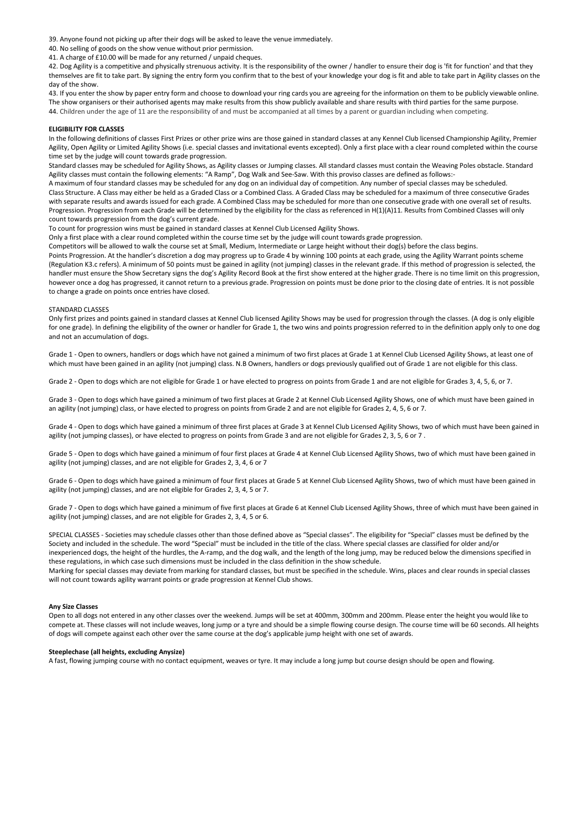39. Anyone found not picking up after their dogs will be asked to leave the venue immediately.

40. No selling of goods on the show venue without prior permission.

41. A charge of £10.00 will be made for any returned / unpaid cheques.

42. Dog Agility is a competitive and physically strenuous activity. It is the responsibility of the owner / handler to ensure their dog is 'fit for function' and that they themselves are fit to take part. By signing the entry form you confirm that to the best of your knowledge your dog is fit and able to take part in Agility classes on the day of the show.

43. If you enter the show by paper entry form and choose to download your ring cards you are agreeing for the information on them to be publicly viewable online. The show organisers or their authorised agents may make results from this show publicly available and share results with third parties for the same purpose. 44. Children under the age of 11 are the responsibility of and must be accompanied at all times by a parent or guardian including when competing.

#### **ELIGIBILITY FOR CLASSES**

In the following definitions of classes First Prizes or other prize wins are those gained in standard classes at any Kennel Club licensed Championship Agility, Premier Agility, Open Agility or Limited Agility Shows (i.e. special classes and invitational events excepted). Only a first place with a clear round completed within the course time set by the judge will count towards grade progression.

Standard classes may be scheduled for Agility Shows, as Agility classes or Jumping classes. All standard classes must contain the Weaving Poles obstacle. Standard Agility classes must contain the following elements: "A Ramp", Dog Walk and See-Saw. With this proviso classes are defined as follows:-

A maximum of four standard classes may be scheduled for any dog on an individual day of competition. Any number of special classes may be scheduled. Class Structure. A Class may either be held as a Graded Class or a Combined Class. A Graded Class may be scheduled for a maximum of three consecutive Grades with separate results and awards issued for each grade. A Combined Class may be scheduled for more than one consecutive grade with one overall set of results. Progression. Progression from each Grade will be determined by the eligibility for the class as referenced in H(1)(A)11. Results from Combined Classes will only count towards progression from the dog's current grade.

To count for progression wins must be gained in standard classes at Kennel Club Licensed Agility Shows.

Only a first place with a clear round completed within the course time set by the judge will count towards grade progression.

Competitors will be allowed to walk the course set at Small, Medium, Intermediate or Large height without their dog(s) before the class begins.

Points Progression. At the handler's discretion a dog may progress up to Grade 4 by winning 100 points at each grade, using the Agility Warrant points scheme (Regulation K3.c refers). A minimum of 50 points must be gained in agility (not jumping) classes in the relevant grade. If this method of progression is selected, the handler must ensure the Show Secretary signs the dog's Agility Record Book at the first show entered at the higher grade. There is no time limit on this progression, however once a dog has progressed, it cannot return to a previous grade. Progression on points must be done prior to the closing date of entries. It is not possible to change a grade on points once entries have closed.

#### STANDARD CLASSES

Only first prizes and points gained in standard classes at Kennel Club licensed Agility Shows may be used for progression through the classes. (A dog is only eligible for one grade). In defining the eligibility of the owner or handler for Grade 1, the two wins and points progression referred to in the definition apply only to one dog and not an accumulation of dogs.

Grade 1 - Open to owners, handlers or dogs which have not gained a minimum of two first places at Grade 1 at Kennel Club Licensed Agility Shows, at least one of which must have been gained in an agility (not jumping) class. N.B Owners, handlers or dogs previously qualified out of Grade 1 are not eligible for this class.

Grade 2 - Open to dogs which are not eligible for Grade 1 or have elected to progress on points from Grade 1 and are not eligible for Grades 3, 4, 5, 6, or 7.

Grade 3 - Open to dogs which have gained a minimum of two first places at Grade 2 at Kennel Club Licensed Agility Shows, one of which must have been gained in an agility (not jumping) class, or have elected to progress on points from Grade 2 and are not eligible for Grades 2, 4, 5, 6 or 7.

Grade 4 - Open to dogs which have gained a minimum of three first places at Grade 3 at Kennel Club Licensed Agility Shows, two of which must have been gained in agility (not jumping classes), or have elected to progress on points from Grade 3 and are not eligible for Grades 2, 3, 5, 6 or 7 .

Grade 5 - Open to dogs which have gained a minimum of four first places at Grade 4 at Kennel Club Licensed Agility Shows, two of which must have been gained in agility (not jumping) classes, and are not eligible for Grades 2, 3, 4, 6 or 7

Grade 6 - Open to dogs which have gained a minimum of four first places at Grade 5 at Kennel Club Licensed Agility Shows, two of which must have been gained in agility (not jumping) classes, and are not eligible for Grades 2, 3, 4, 5 or 7.

Grade 7 - Open to dogs which have gained a minimum of five first places at Grade 6 at Kennel Club Licensed Agility Shows, three of which must have been gained in agility (not jumping) classes, and are not eligible for Grades 2, 3, 4, 5 or 6.

SPECIAL CLASSES - Societies may schedule classes other than those defined above as "Special classes". The eligibility for "Special" classes must be defined by the Society and included in the schedule. The word "Special" must be included in the title of the class. Where special classes are classified for older and/or inexperienced dogs, the height of the hurdles, the A-ramp, and the dog walk, and the length of the long jump, may be reduced below the dimensions specified in these regulations, in which case such dimensions must be included in the class definition in the show schedule.

Marking for special classes may deviate from marking for standard classes, but must be specified in the schedule. Wins, places and clear rounds in special classes will not count towards agility warrant points or grade progression at Kennel Club shows.

#### **Any Size Classes**

Open to all dogs not entered in any other classes over the weekend. Jumps will be set at 400mm, 300mm and 200mm. Please enter the height you would like to compete at. These classes will not include weaves, long jump or a tyre and should be a simple flowing course design. The course time will be 60 seconds. All heights of dogs will compete against each other over the same course at the dog's applicable jump height with one set of awards.

#### **Steeplechase (all heights, excluding Anysize)**

A fast, flowing jumping course with no contact equipment, weaves or tyre. It may include a long jump but course design should be open and flowing.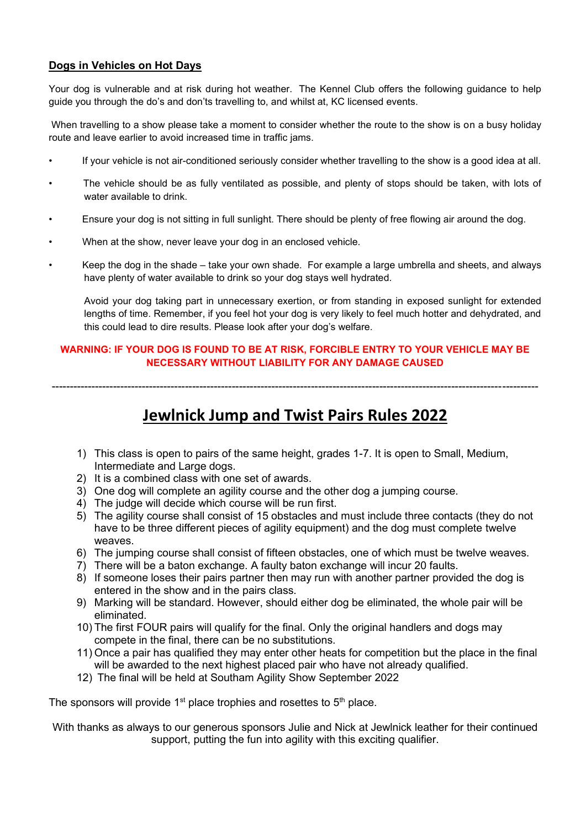#### **Dogs in Vehicles on Hot Days**

Your dog is vulnerable and at risk during hot weather. The Kennel Club offers the following guidance to help guide you through the do's and don'ts travelling to, and whilst at, KC licensed events.

When travelling to a show please take a moment to consider whether the route to the show is on a busy holiday route and leave earlier to avoid increased time in traffic jams.

- If your vehicle is not air-conditioned seriously consider whether travelling to the show is a good idea at all.
- The vehicle should be as fully ventilated as possible, and plenty of stops should be taken, with lots of water available to drink.
- Ensure your dog is not sitting in full sunlight. There should be plenty of free flowing air around the dog.
- When at the show, never leave your dog in an enclosed vehicle.
- Keep the dog in the shade take your own shade. For example a large umbrella and sheets, and always have plenty of water available to drink so your dog stays well hydrated.

Avoid your dog taking part in unnecessary exertion, or from standing in exposed sunlight for extended lengths of time. Remember, if you feel hot your dog is very likely to feel much hotter and dehydrated, and this could lead to dire results. Please look after your dog's welfare.

#### **WARNING: IF YOUR DOG IS FOUND TO BE AT RISK, FORCIBLE ENTRY TO YOUR VEHICLE MAY BE NECESSARY WITHOUT LIABILITY FOR ANY DAMAGE CAUSED**

---------------------------------------------------------------------------------------------------------------------------------------

## **Jewlnick Jump and Twist Pairs Rules 2022**

- 1) This class is open to pairs of the same height, grades 1-7. It is open to Small, Medium, Intermediate and Large dogs.
- 2) It is a combined class with one set of awards.
- 3) One dog will complete an agility course and the other dog a jumping course.
- 4) The judge will decide which course will be run first.
- 5) The agility course shall consist of 15 obstacles and must include three contacts (they do not have to be three different pieces of agility equipment) and the dog must complete twelve weaves.
- 6) The jumping course shall consist of fifteen obstacles, one of which must be twelve weaves.
- 7) There will be a baton exchange. A faulty baton exchange will incur 20 faults.
- 8) If someone loses their pairs partner then may run with another partner provided the dog is entered in the show and in the pairs class.
- 9) Marking will be standard. However, should either dog be eliminated, the whole pair will be eliminated.
- 10) The first FOUR pairs will qualify for the final. Only the original handlers and dogs may compete in the final, there can be no substitutions.
- 11) Once a pair has qualified they may enter other heats for competition but the place in the final will be awarded to the next highest placed pair who have not already qualified.
- 12) The final will be held at Southam Agility Show September 2022

The sponsors will provide  $1<sup>st</sup>$  place trophies and rosettes to  $5<sup>th</sup>$  place.

With thanks as always to our generous sponsors Julie and Nick at Jewlnick leather for their continued support, putting the fun into agility with this exciting qualifier.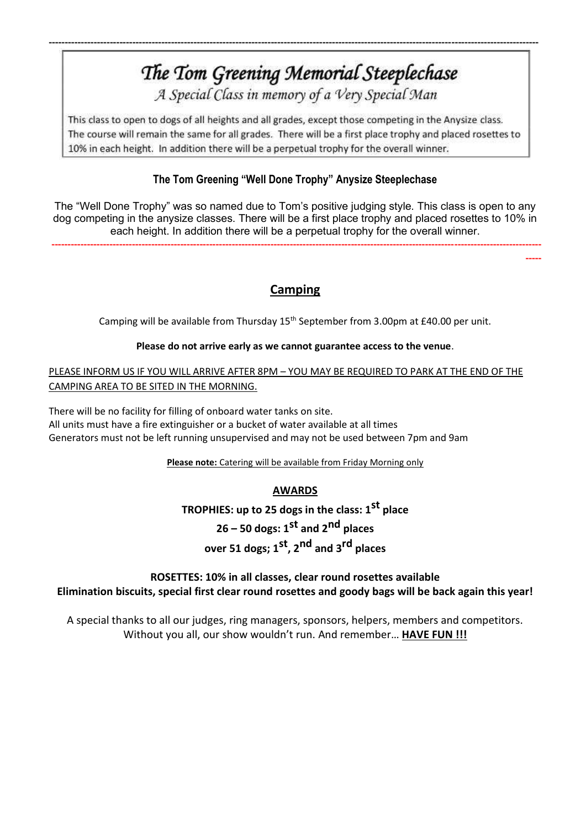# The Tom Greening Memorial Steeplechase

--------------------------------------------------------------------------------------------------------------------------------------------------------

A Special Class in memory of a Very Special Man

This class to open to dogs of all heights and all grades, except those competing in the Anysize class. The course will remain the same for all grades. There will be a first place trophy and placed rosettes to 10% in each height. In addition there will be a perpetual trophy for the overall winner.

### **The Tom Greening "Well Done Trophy" Anysize Steeplechase**

The "Well Done Trophy" was so named due to Tom's positive judging style. This class is open to any dog competing in the anysize classes. There will be a first place trophy and placed rosettes to 10% in each height. In addition there will be a perpetual trophy for the overall winner.

--------------------------------------------------------------------------------------------------------------------------------------------------------

-----

### **Camping**

Camping will be available from Thursday 15<sup>th</sup> September from 3.00pm at £40.00 per unit.

#### **Please do not arrive early as we cannot guarantee access to the venue**.

#### PLEASE INFORM US IF YOU WILL ARRIVE AFTER 8PM – YOU MAY BE REQUIRED TO PARK AT THE END OF THE CAMPING AREA TO BE SITED IN THE MORNING.

There will be no facility for filling of onboard water tanks on site. All units must have a fire extinguisher or a bucket of water available at all times Generators must not be left running unsupervised and may not be used between 7pm and 9am

**Please note:** Catering will be available from Friday Morning only

### **AWARDS**

**TROPHIES: up to 25 dogs in the class: 1 st place 26 – 50 dogs: 1 st and 2nd places over 51 dogs; 1 st, 2nd and 3rd places**

#### **ROSETTES: 10% in all classes, clear round rosettes available Elimination biscuits, special first clear round rosettes and goody bags will be back again this year!**

A special thanks to all our judges, ring managers, sponsors, helpers, members and competitors. Without you all, our show wouldn't run. And remember… **HAVE FUN !!!**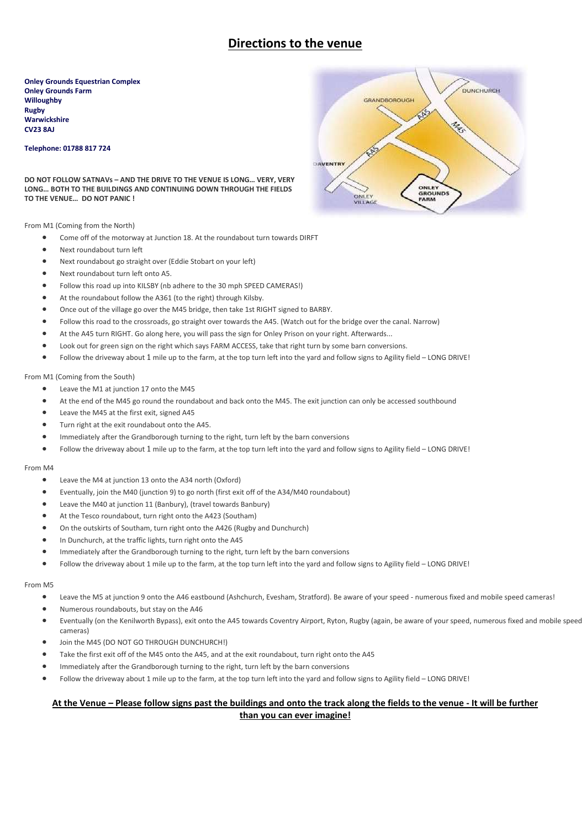### **Directions to the venue**

**Onley Grounds Equestrian Complex Onley Grounds Farm Willoughby Rugby Warwickshire CV23 8AJ** 

#### **Telephone: 01788 817 724**

**DO NOT FOLLOW SATNAVs – AND THE DRIVE TO THE VENUE IS LONG… VERY, VERY LONG… BOTH TO THE BUILDINGS AND CONTINUING DOWN THROUGH THE FIELDS TO THE VENUE… DO NOT PANIC !**

From M1 (Coming from the North)

- Come off of the motorway at Junction 18. At the roundabout turn towards DIRFT
- Next roundabout turn left
- Next roundabout go straight over (Eddie Stobart on your left)
- Next roundabout turn left onto A5.
- Follow this road up into KILSBY (nb adhere to the 30 mph SPEED CAMERAS!)
- At the roundabout follow the A361 (to the right) through Kilsby.
- Once out of the village go over the M45 bridge, then take 1st RIGHT signed to BARBY.
- Follow this road to the crossroads, go straight over towards the A45. (Watch out for the bridge over the canal. Narrow)
- At the A45 turn RIGHT. Go along here, you will pass the sign for Onley Prison on your right. Afterwards...
- Look out for green sign on the right which says FARM ACCESS, take that right turn by some barn conversions.
- Follow the driveway about 1 mile up to the farm, at the top turn left into the yard and follow signs to Agility field LONG DRIVE!

From M1 (Coming from the South)

- Leave the M1 at junction 17 onto the M45
- At the end of the M45 go round the roundabout and back onto the M45. The exit junction can only be accessed southbound
- Leave the M45 at the first exit, signed A45
- Turn right at the exit roundabout onto the A45.
- Immediately after the Grandborough turning to the right, turn left by the barn conversions
- Follow the driveway about 1 mile up to the farm, at the top turn left into the yard and follow signs to Agility field LONG DRIVE!

#### From M4

- Leave the M4 at junction 13 onto the A34 north (Oxford)
- Eventually, join the M40 (junction 9) to go north (first exit off of the A34/M40 roundabout)
- Leave the M40 at junction 11 (Banbury), (travel towards Banbury)
- At the Tesco roundabout, turn right onto the A423 (Southam)
- On the outskirts of Southam, turn right onto the A426 (Rugby and Dunchurch)
- In Dunchurch, at the traffic lights, turn right onto the A45
- Immediately after the Grandborough turning to the right, turn left by the barn conversions
- Follow the driveway about 1 mile up to the farm, at the top turn left into the yard and follow signs to Agility field LONG DRIVE!

#### From M5

- Leave the M5 at junction 9 onto the A46 eastbound (Ashchurch, Evesham, Stratford). Be aware of your speed numerous fixed and mobile speed cameras!
- Numerous roundabouts, but stay on the A46
- Eventually (on the Kenilworth Bypass), exit onto the A45 towards Coventry Airport, Ryton, Rugby (again, be aware of your speed, numerous fixed and mobile speed cameras)
- Join the M45 (DO NOT GO THROUGH DUNCHURCH!)
- Take the first exit off of the M45 onto the A45, and at the exit roundabout, turn right onto the A45
- Immediately after the Grandborough turning to the right, turn left by the barn conversions
- Follow the driveway about 1 mile up to the farm, at the top turn left into the yard and follow signs to Agility field LONG DRIVE!

#### **At the Venue – Please follow signs past the buildings and onto the track along the fields to the venue - It will be further than you can ever imagine!**

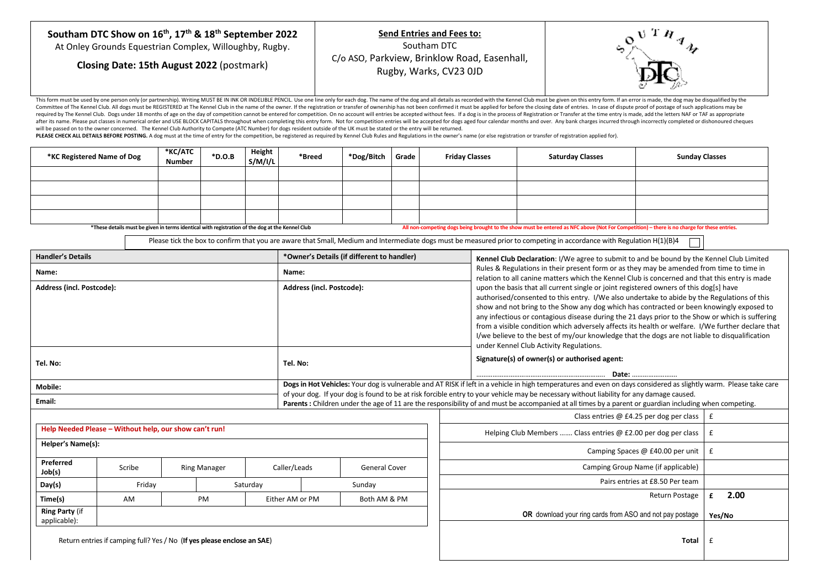| Southam DTC Show on 16 <sup>th</sup> , 17 <sup>th</sup> & 18 <sup>th</sup> September 2022<br><b>Send Entries and Fees to:</b><br>Southam DTC<br>At Onley Grounds Equestrian Complex, Willoughby, Rugby.<br>C/o ASO, Parkview, Brinklow Road, Easenhall,<br>Closing Date: 15th August 2022 (postmark)<br>Rugby, Warks, CV23 OJD |  |
|--------------------------------------------------------------------------------------------------------------------------------------------------------------------------------------------------------------------------------------------------------------------------------------------------------------------------------|--|
|--------------------------------------------------------------------------------------------------------------------------------------------------------------------------------------------------------------------------------------------------------------------------------------------------------------------------------|--|

This form must be used by one person only (or partnership). Writing MUST BEIN INK OR INDELIBLE PENCIL. Use one line only for each dog. The name of the dog and all details as recorded with the Kennel Club must be given on t Committee of The Kennel Club. All dogs must be REGISTERED at The Kennel Club in the name of the owner. If the registration or transfer of ownership has not been confirmed it must be applied for before the closing date of e required by The Kennel Club. Dogs under 18 months of age on the day of competition cannot be entered for competition. On no account will entries be accepted without fees. If a dog is in the process of Registration or Trans after its name. Please put classes in numerical order and USE BLOCK CAPITALS throughout when completing this entry form. Not for connetition entries will be accepted for dogs aged four calendar months and over. Any bank ch will be passed on to the owner concerned. The Kennel Club Authority to Compete (ATC Number) for dogs resident outside of the UK must be stated or the entry will be returned.

PLEASE CHECK ALL DETAILS BEFORE POSTING. A dog must at the time of entry for the competition, be registered as required by Kennel Club Rules and Regulations in the owner's name (or else registration or transfer of registra

| *KC Registered Name of Dog                                                                                                                                                                                                                     | *KC/ATC<br>Number | $*D.O.B$ | Height<br>S/M/I/L | *Breed | *Dog/Bitch | Grade | <b>Friday Classes</b> | <b>Saturday Classes</b> | <b>Sunday Classes</b> |
|------------------------------------------------------------------------------------------------------------------------------------------------------------------------------------------------------------------------------------------------|-------------------|----------|-------------------|--------|------------|-------|-----------------------|-------------------------|-----------------------|
|                                                                                                                                                                                                                                                |                   |          |                   |        |            |       |                       |                         |                       |
|                                                                                                                                                                                                                                                |                   |          |                   |        |            |       |                       |                         |                       |
|                                                                                                                                                                                                                                                |                   |          |                   |        |            |       |                       |                         |                       |
|                                                                                                                                                                                                                                                |                   |          |                   |        |            |       |                       |                         |                       |
| All non-competing dogs being brought to the show must be entered as NFC above (Not For Competition) - there is no charge for these entries.<br>*These details must be given in terms identical with registration of the dog at the Kennel Club |                   |          |                   |        |            |       |                       |                         |                       |

Please tick the box to confirm that you are aware that Small, Medium and Intermediate dogs must be measured prior to competing in accordance with Regulation H(1)(B)4

| <b>Handler's Details</b>              |                                                        |                                                                         |                 | *Owner's Details (if different to handler) | Kennel Club Declaration: I/We agree to submit to and be bound by the Kennel Club Limited                                                                                                  |                                                                                                                                                                                                                                                                                                                                                                                                                                                                                                                                                                                           |  |  |  |  |
|---------------------------------------|--------------------------------------------------------|-------------------------------------------------------------------------|-----------------|--------------------------------------------|-------------------------------------------------------------------------------------------------------------------------------------------------------------------------------------------|-------------------------------------------------------------------------------------------------------------------------------------------------------------------------------------------------------------------------------------------------------------------------------------------------------------------------------------------------------------------------------------------------------------------------------------------------------------------------------------------------------------------------------------------------------------------------------------------|--|--|--|--|
| Name:                                 |                                                        |                                                                         |                 |                                            | Rules & Regulations in their present form or as they may be amended from time to time in<br>relation to all canine matters which the Kennel Club is concerned and that this entry is made |                                                                                                                                                                                                                                                                                                                                                                                                                                                                                                                                                                                           |  |  |  |  |
| Address (incl. Postcode):             |                                                        |                                                                         |                 | Address (incl. Postcode):                  | under Kennel Club Activity Regulations.                                                                                                                                                   | upon the basis that all current single or joint registered owners of this dog[s] have<br>authorised/consented to this entry. I/We also undertake to abide by the Regulations of this<br>show and not bring to the Show any dog which has contracted or been knowingly exposed to<br>any infectious or contagious disease during the 21 days prior to the Show or which is suffering<br>from a visible condition which adversely affects its health or welfare. I/We further declare that<br>I/we believe to the best of my/our knowledge that the dogs are not liable to disqualification |  |  |  |  |
| Tel. No:                              |                                                        |                                                                         | Tel. No:        |                                            | Signature(s) of owner(s) or authorised agent:                                                                                                                                             |                                                                                                                                                                                                                                                                                                                                                                                                                                                                                                                                                                                           |  |  |  |  |
| <b>Mobile:</b>                        |                                                        |                                                                         |                 |                                            | Dogs in Hot Vehicles: Your dog is vulnerable and AT RISK if left in a vehicle in high temperatures and even on days considered as slightly warm. Please take care                         |                                                                                                                                                                                                                                                                                                                                                                                                                                                                                                                                                                                           |  |  |  |  |
| Email:                                |                                                        |                                                                         |                 |                                            | of your dog. If your dog is found to be at risk forcible entry to your vehicle may be necessary without liability for any damage caused.                                                  |                                                                                                                                                                                                                                                                                                                                                                                                                                                                                                                                                                                           |  |  |  |  |
|                                       |                                                        |                                                                         |                 |                                            | Parents: Children under the age of 11 are the responsibility of and must be accompanied at all times by a parent or guardian including when competing.                                    |                                                                                                                                                                                                                                                                                                                                                                                                                                                                                                                                                                                           |  |  |  |  |
|                                       |                                                        |                                                                         |                 |                                            | Class entries $@$ £4.25 per dog per class                                                                                                                                                 | £                                                                                                                                                                                                                                                                                                                                                                                                                                                                                                                                                                                         |  |  |  |  |
|                                       | Help Needed Please - Without help, our show can't run! |                                                                         |                 |                                            | Helping Club Members  Class entries @ £2.00 per dog per class<br>£                                                                                                                        |                                                                                                                                                                                                                                                                                                                                                                                                                                                                                                                                                                                           |  |  |  |  |
| Helper's Name(s):                     |                                                        |                                                                         |                 |                                            | Camping Spaces @ £40.00 per unit                                                                                                                                                          | $\mathbf f$                                                                                                                                                                                                                                                                                                                                                                                                                                                                                                                                                                               |  |  |  |  |
| Preferred<br>Job(s)                   | Scribe                                                 | <b>Ring Manager</b>                                                     | Caller/Leads    | <b>General Cover</b>                       | Camping Group Name (if applicable)                                                                                                                                                        |                                                                                                                                                                                                                                                                                                                                                                                                                                                                                                                                                                                           |  |  |  |  |
| Day(s)                                | Friday                                                 |                                                                         | Saturday        | Sunday                                     | Pairs entries at £8.50 Per team                                                                                                                                                           |                                                                                                                                                                                                                                                                                                                                                                                                                                                                                                                                                                                           |  |  |  |  |
| Time(s)                               | AM                                                     | <b>PM</b>                                                               | Either AM or PM | Both AM & PM                               | <b>Return Postage</b>                                                                                                                                                                     | 2.00<br>£                                                                                                                                                                                                                                                                                                                                                                                                                                                                                                                                                                                 |  |  |  |  |
| <b>Ring Party (if</b><br>applicable): |                                                        |                                                                         |                 |                                            | OR download your ring cards from ASO and not pay postage                                                                                                                                  | Yes/No                                                                                                                                                                                                                                                                                                                                                                                                                                                                                                                                                                                    |  |  |  |  |
|                                       |                                                        | Return entries if camping full? Yes / No (If yes please enclose an SAE) |                 |                                            | <b>Total</b>                                                                                                                                                                              |                                                                                                                                                                                                                                                                                                                                                                                                                                                                                                                                                                                           |  |  |  |  |